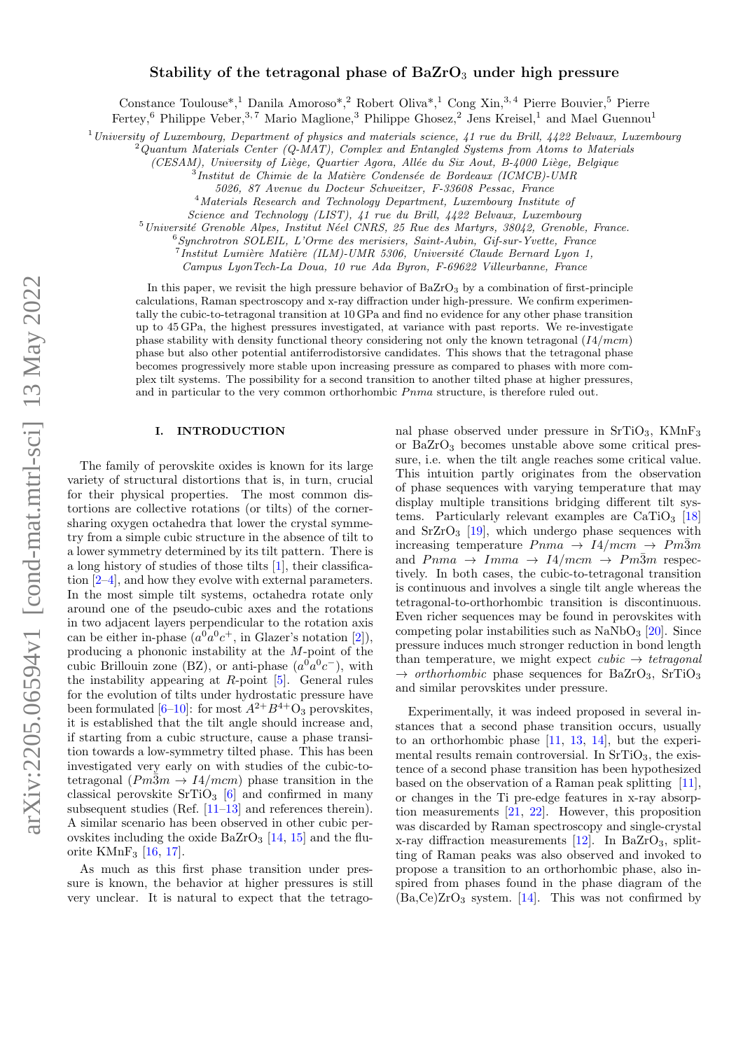# Stability of the tetragonal phase of  $BaZrO<sub>3</sub>$  under high pressure

Constance Toulouse<sup>\*</sup>,<sup>1</sup> Danila Amoroso<sup>\*</sup>,<sup>2</sup> Robert Oliva<sup>\*</sup>,<sup>1</sup> Cong Xin,<sup>3,4</sup> Pierre Bouvier,<sup>5</sup> Pierre

Fertey,<sup>6</sup> Philippe Veber,<sup>3,7</sup> Mario Maglione,<sup>3</sup> Philippe Ghosez,<sup>2</sup> Jens Kreisel,<sup>1</sup> and Mael Guennou<sup>1</sup>

<sup>1</sup> University of Luxembourg, Department of physics and materials science, 41 rue du Brill, 4422 Belvaux, Luxembourg

<sup>2</sup>Quantum Materials Center (Q-MAT), Complex and Entangled Systems from Atoms to Materials

(CESAM), University of Liège, Quartier Agora, Allée du Six Aout, B- $4000$  Liège, Belgique

 $3$ Institut de Chimie de la Matière Condensée de Bordeaux (ICMCB)-UMR

5026, 87 Avenue du Docteur Schweitzer, F-33608 Pessac, France

<sup>4</sup>Materials Research and Technology Department, Luxembourg Institute of

Science and Technology (LIST), 41 rue du Brill, 4422 Belvaux, Luxembourg

 $5$ Université Grenoble Alpes, Institut Néel CNRS, 25 Rue des Martyrs, 38042, Grenoble, France.

 $6$ Synchrotron SOLEIL, L'Orme des merisiers, Saint-Aubin, Gif-sur-Yvette, France

 $^{7}$ Institut Lumière Matière (ILM)-UMR 5306, Université Claude Bernard Lyon 1,

Campus LyonTech-La Doua, 10 rue Ada Byron, F-69622 Villeurbanne, France

In this paper, we revisit the high pressure behavior of  $BaZrO<sub>3</sub>$  by a combination of first-principle calculations, Raman spectroscopy and x-ray diffraction under high-pressure. We confirm experimentally the cubic-to-tetragonal transition at 10 GPa and find no evidence for any other phase transition up to 45 GPa, the highest pressures investigated, at variance with past reports. We re-investigate phase stability with density functional theory considering not only the known tetragonal  $(I4/mcm)$ phase but also other potential antiferrodistorsive candidates. This shows that the tetragonal phase becomes progressively more stable upon increasing pressure as compared to phases with more complex tilt systems. The possibility for a second transition to another tilted phase at higher pressures, and in particular to the very common orthorhombic  $Pnma$  structure, is therefore ruled out.

# I. INTRODUCTION

The family of perovskite oxides is known for its large variety of structural distortions that is, in turn, crucial for their physical properties. The most common distortions are collective rotations (or tilts) of the cornersharing oxygen octahedra that lower the crystal symmetry from a simple cubic structure in the absence of tilt to a lower symmetry determined by its tilt pattern. There is a long history of studies of those tilts [\[1\]](#page-8-0), their classification [\[2](#page-8-1)[–4\]](#page-8-2), and how they evolve with external parameters. In the most simple tilt systems, octahedra rotate only around one of the pseudo-cubic axes and the rotations in two adjacent layers perpendicular to the rotation axis can be either in-phase  $(a^0a^0c^+$ , in Glazer's notation [\[2\]](#page-8-1)), producing a phononic instability at the M-point of the cubic Brillouin zone (BZ), or anti-phase  $(a^0a^0c^-)$ , with the instability appearing at  $R$ -point  $[5]$ . General rules for the evolution of tilts under hydrostatic pressure have been formulated  $[6-10]$  $[6-10]$ : for most  $A^{2+}B^{4+}O_3$  perovskites, it is established that the tilt angle should increase and, if starting from a cubic structure, cause a phase transition towards a low-symmetry tilted phase. This has been investigated very early on with studies of the cubic-totetragonal  $(Pm\bar{3}m \rightarrow I4/mcm)$  phase transition in the classical perovskite  $SrTiO<sub>3</sub>$  [\[6\]](#page-8-4) and confirmed in many subsequent studies (Ref. [\[11–](#page-8-6)[13\]](#page-8-7) and references therein). A similar scenario has been observed in other cubic perovskites including the oxide  $BaZrO<sub>3</sub>$  [\[14,](#page-8-8) [15\]](#page-8-9) and the fluorite KMnF<sup>3</sup> [\[16,](#page-8-10) [17\]](#page-8-11).

As much as this first phase transition under pressure is known, the behavior at higher pressures is still very unclear. It is natural to expect that the tetragonal phase observed under pressure in SrTiO<sub>3</sub>, KMnF<sub>3</sub> or  $BaZrO<sub>3</sub>$  becomes unstable above some critical pressure, i.e. when the tilt angle reaches some critical value. This intuition partly originates from the observation of phase sequences with varying temperature that may display multiple transitions bridging different tilt systems. Particularly relevant examples are  $CaTiO<sub>3</sub>$  [\[18\]](#page-8-12) and  $SrZrO<sub>3</sub>$  [\[19\]](#page-8-13), which undergo phase sequences with increasing temperature  $Pnma \rightarrow 14/mcm \rightarrow Pm\overline{3}m$ and  $Pnma \rightarrow Imma \rightarrow I4/mcm \rightarrow Pm\overline{3}m$  respectively. In both cases, the cubic-to-tetragonal transition is continuous and involves a single tilt angle whereas the tetragonal-to-orthorhombic transition is discontinuous. Even richer sequences may be found in perovskites with competing polar instabilities such as  $\text{NaNbO}_3$  [\[20\]](#page-8-14). Since pressure induces much stronger reduction in bond length than temperature, we might expect  $cubic \rightarrow tetragonal$  $\rightarrow$  orthorhombic phase sequences for BaZrO<sub>3</sub>, SrTiO<sub>3</sub> and similar perovskites under pressure.

Experimentally, it was indeed proposed in several instances that a second phase transition occurs, usually to an orthorhombic phase [\[11,](#page-8-6) [13,](#page-8-7) [14\]](#page-8-8), but the experimental results remain controversial. In  $SrTiO<sub>3</sub>$ , the existence of a second phase transition has been hypothesized based on the observation of a Raman peak splitting [\[11\]](#page-8-6), or changes in the Ti pre-edge features in x-ray absorption measurements [\[21,](#page-8-15) [22\]](#page-8-16). However, this proposition was discarded by Raman spectroscopy and single-crystal x-ray diffraction measurements  $[12]$ . In BaZrO<sub>3</sub>, splitting of Raman peaks was also observed and invoked to propose a transition to an orthorhombic phase, also inspired from phases found in the phase diagram of the  $(Ba,Ce)ZrO<sub>3</sub>$  system. [\[14\]](#page-8-8). This was not confirmed by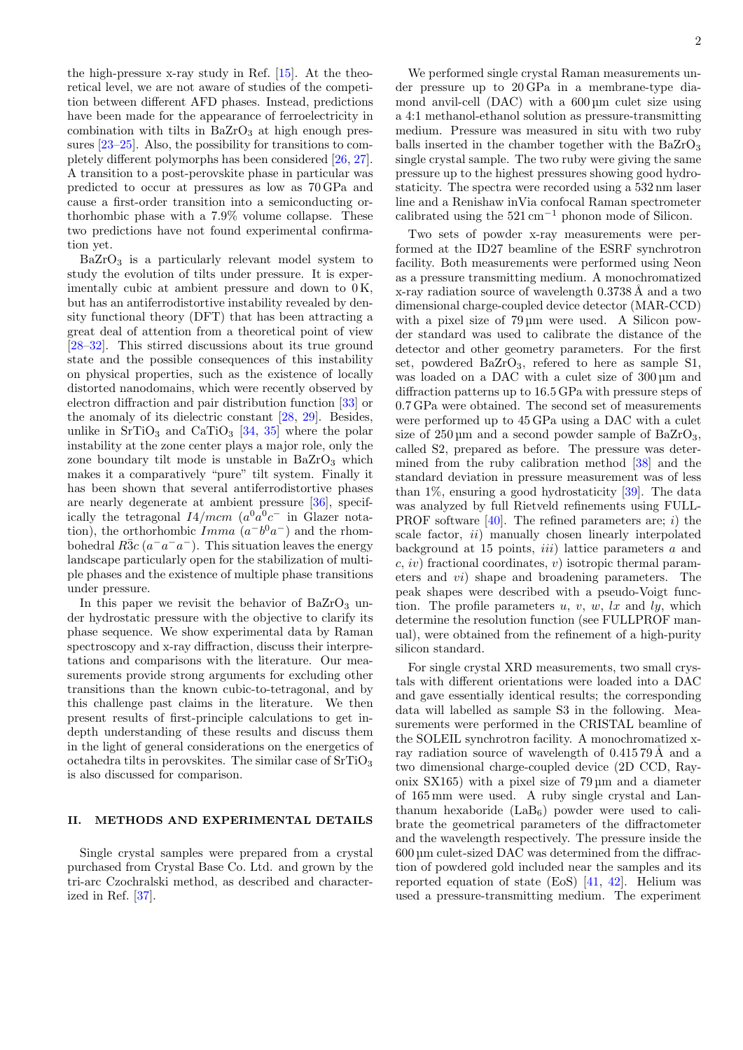the high-pressure x-ray study in Ref. [\[15\]](#page-8-9). At the theoretical level, we are not aware of studies of the competition between different AFD phases. Instead, predictions have been made for the appearance of ferroelectricity in combination with tilts in  $BaZrO<sub>3</sub>$  at high enough pressures [\[23–](#page-8-18)[25\]](#page-8-19). Also, the possibility for transitions to completely different polymorphs has been considered [\[26,](#page-8-20) [27\]](#page-9-0). A transition to a post-perovskite phase in particular was predicted to occur at pressures as low as 70 GPa and cause a first-order transition into a semiconducting orthorhombic phase with a 7.9% volume collapse. These two predictions have not found experimental confirmation yet.

 $BaZrO<sub>3</sub>$  is a particularly relevant model system to study the evolution of tilts under pressure. It is experimentally cubic at ambient pressure and down to  $0K$ , but has an antiferrodistortive instability revealed by density functional theory (DFT) that has been attracting a great deal of attention from a theoretical point of view [\[28–](#page-9-1)[32\]](#page-9-2). This stirred discussions about its true ground state and the possible consequences of this instability on physical properties, such as the existence of locally distorted nanodomains, which were recently observed by electron diffraction and pair distribution function [\[33\]](#page-9-3) or the anomaly of its dielectric constant [\[28,](#page-9-1) [29\]](#page-9-4). Besides, unlike in  $SrTiO<sub>3</sub>$  and  $CaTiO<sub>3</sub>$  [\[34,](#page-9-5) [35\]](#page-9-6) where the polar instability at the zone center plays a major role, only the zone boundary tilt mode is unstable in  $BaZrO<sub>3</sub>$  which makes it a comparatively "pure" tilt system. Finally it has been shown that several antiferrodistortive phases are nearly degenerate at ambient pressure [\[36\]](#page-9-7), specifically the tetragonal  $I4/mcm$   $(a^0a^0c^-$  in Glazer notation), the orthorhombic  $Imma(a^-b^0a^-)$  and the rhombohedral  $R\bar{3}c$  ( $a^-a^-a^-$ ). This situation leaves the energy landscape particularly open for the stabilization of multiple phases and the existence of multiple phase transitions under pressure.

In this paper we revisit the behavior of  $BaZrO<sub>3</sub>$  under hydrostatic pressure with the objective to clarify its phase sequence. We show experimental data by Raman spectroscopy and x-ray diffraction, discuss their interpretations and comparisons with the literature. Our measurements provide strong arguments for excluding other transitions than the known cubic-to-tetragonal, and by this challenge past claims in the literature. We then present results of first-principle calculations to get indepth understanding of these results and discuss them in the light of general considerations on the energetics of octahedra tilts in perovskites. The similar case of  $SrTiO<sub>3</sub>$ is also discussed for comparison.

### II. METHODS AND EXPERIMENTAL DETAILS

Single crystal samples were prepared from a crystal purchased from Crystal Base Co. Ltd. and grown by the tri-arc Czochralski method, as described and characterized in Ref. [\[37\]](#page-9-8).

We performed single crystal Raman measurements under pressure up to 20 GPa in a membrane-type diamond anvil-cell (DAC) with a  $600 \,\mu m$  culet size using a 4:1 methanol-ethanol solution as pressure-transmitting medium. Pressure was measured in situ with two ruby balls inserted in the chamber together with the  $BaZrO<sub>3</sub>$ single crystal sample. The two ruby were giving the same pressure up to the highest pressures showing good hydrostaticity. The spectra were recorded using a 532 nm laser line and a Renishaw inVia confocal Raman spectrometer calibrated using the 521 cm−<sup>1</sup> phonon mode of Silicon.

Two sets of powder x-ray measurements were performed at the ID27 beamline of the ESRF synchrotron facility. Both measurements were performed using Neon as a pressure transmitting medium. A monochromatized x-ray radiation source of wavelength 0.3738 A and a two dimensional charge-coupled device detector (MAR-CCD) with a pixel size of 79 µm were used. A Silicon powder standard was used to calibrate the distance of the detector and other geometry parameters. For the first set, powdered  $BaZrO<sub>3</sub>$ , refered to here as sample S1, was loaded on a DAC with a culet size of  $300 \,\mathrm{\upmu m}$  and diffraction patterns up to 16.5 GPa with pressure steps of 0.7 GPa were obtained. The second set of measurements were performed up to 45 GPa using a DAC with a culet size of  $250 \text{ µm}$  and a second powder sample of  $BaZrO<sub>3</sub>$ , called S2, prepared as before. The pressure was determined from the ruby calibration method [\[38\]](#page-9-9) and the standard deviation in pressure measurement was of less than 1%, ensuring a good hydrostaticity [\[39\]](#page-9-10). The data was analyzed by full Rietveld refinements using FULL-PROF software  $[40]$ . The refined parameters are; i) the scale factor, *ii*) manually chosen linearly interpolated background at 15 points, *iii*) lattice parameters  $\alpha$  and  $c, iv)$  fractional coordinates, v) isotropic thermal parameters and vi) shape and broadening parameters. The peak shapes were described with a pseudo-Voigt function. The profile parameters  $u, v, w, lx$  and  $ly$ , which determine the resolution function (see FULLPROF manual), were obtained from the refinement of a high-purity silicon standard.

For single crystal XRD measurements, two small crystals with different orientations were loaded into a DAC and gave essentially identical results; the corresponding data will labelled as sample S3 in the following. Measurements were performed in the CRISTAL beamline of the SOLEIL synchrotron facility. A monochromatized xray radiation source of wavelength of 0.415 79 A and a two dimensional charge-coupled device (2D CCD, Rayonix SX165) with a pixel size of 79 µm and a diameter of 165 mm were used. A ruby single crystal and Lanthanum hexaboride  $(LaB_6)$  powder were used to calibrate the geometrical parameters of the diffractometer and the wavelength respectively. The pressure inside the 600 µm culet-sized DAC was determined from the diffraction of powdered gold included near the samples and its reported equation of state (EoS) [\[41,](#page-9-12) [42\]](#page-9-13). Helium was used a pressure-transmitting medium. The experiment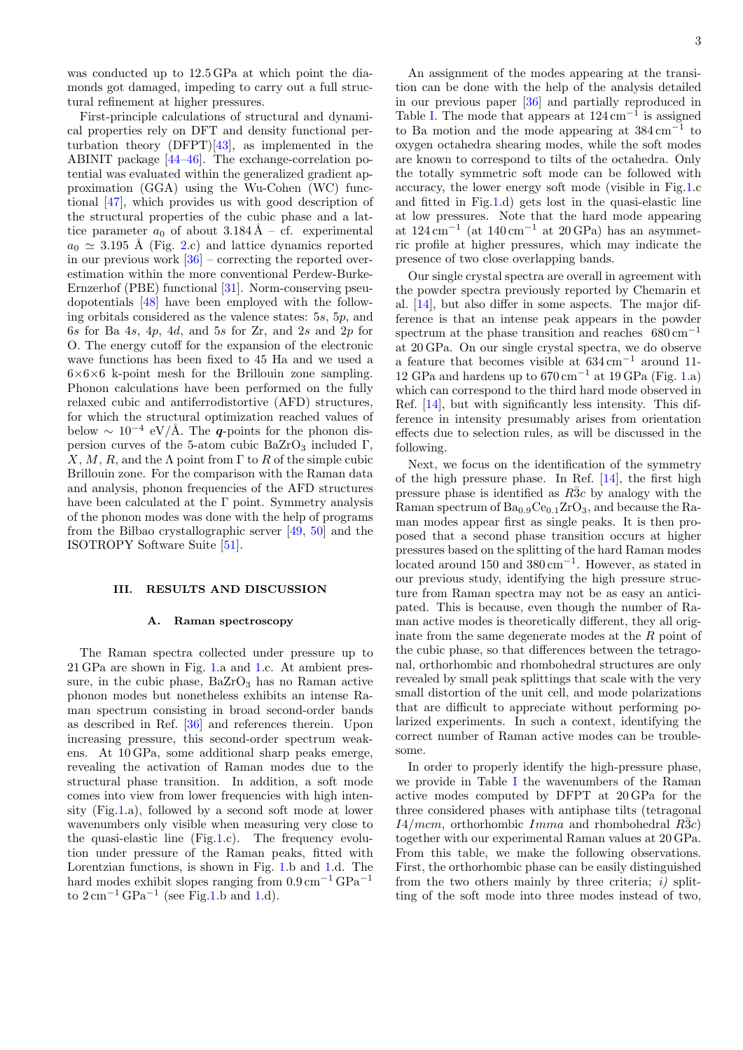was conducted up to 12.5 GPa at which point the diamonds got damaged, impeding to carry out a full structural refinement at higher pressures.

First-principle calculations of structural and dynamical properties rely on DFT and density functional perturbation theory  $(DFPT)[43]$  $(DFPT)[43]$ , as implemented in the ABINIT package [\[44–](#page-9-15)[46\]](#page-9-16). The exchange-correlation potential was evaluated within the generalized gradient approximation (GGA) using the Wu-Cohen (WC) functional [\[47\]](#page-9-17), which provides us with good description of the structural properties of the cubic phase and a lattice parameter  $a_0$  of about  $3.184 \text{ Å}$  – cf. experimental  $a_0 \simeq 3.195$  Å (Fig. [2.](#page-5-0)c) and lattice dynamics reported in our previous work  $[36]$  – correcting the reported overestimation within the more conventional Perdew-Burke-Ernzerhof (PBE) functional [\[31\]](#page-9-18). Norm-conserving pseudopotentials [\[48\]](#page-9-19) have been employed with the following orbitals considered as the valence states: 5s, 5p, and 6s for Ba  $4s$ ,  $4p$ ,  $4d$ , and  $5s$  for  $Zr$ , and  $2s$  and  $2p$  for O. The energy cutoff for the expansion of the electronic wave functions has been fixed to 45 Ha and we used a  $6\times6\times6$  k-point mesh for the Brillouin zone sampling. Phonon calculations have been performed on the fully relaxed cubic and antiferrodistortive (AFD) structures, for which the structural optimization reached values of below  $\sim 10^{-4}$  eV/Å. The q-points for the phonon dispersion curves of the 5-atom cubic BaZrO<sub>3</sub> included Γ, X, M, R, and the  $\Lambda$  point from  $\Gamma$  to R of the simple cubic Brillouin zone. For the comparison with the Raman data and analysis, phonon frequencies of the AFD structures have been calculated at the Γ point. Symmetry analysis of the phonon modes was done with the help of programs from the Bilbao crystallographic server [\[49,](#page-9-20) [50\]](#page-9-21) and the ISOTROPY Software Suite [\[51\]](#page-9-22).

#### III. RESULTS AND DISCUSSION

#### <span id="page-2-0"></span>A. Raman spectroscopy

The Raman spectra collected under pressure up to 21 GPa are shown in Fig. [1.](#page-3-0)a and [1.](#page-3-0)c. At ambient pressure, in the cubic phase,  $BaZrO<sub>3</sub>$  has no Raman active phonon modes but nonetheless exhibits an intense Raman spectrum consisting in broad second-order bands as described in Ref. [\[36\]](#page-9-7) and references therein. Upon increasing pressure, this second-order spectrum weakens. At 10 GPa, some additional sharp peaks emerge, revealing the activation of Raman modes due to the structural phase transition. In addition, a soft mode comes into view from lower frequencies with high intensity (Fig[.1.](#page-3-0)a), followed by a second soft mode at lower wavenumbers only visible when measuring very close to the quasi-elastic line (Fig[.1.](#page-3-0)c). The frequency evolution under pressure of the Raman peaks, fitted with Lorentzian functions, is shown in Fig. [1.](#page-3-0)b and [1.](#page-3-0)d. The hard modes exhibit slopes ranging from  $0.9\,{\rm cm^{-1}\,GPa^{-1}}$ to  $2 \text{ cm}^{-1} \text{ GPa}^{-1}$  (see Fig[.1.](#page-3-0)b and [1.](#page-3-0)d).

An assignment of the modes appearing at the transition can be done with the help of the analysis detailed in our previous paper [\[36\]](#page-9-7) and partially reproduced in Table [I.](#page-3-1) The mode that appears at  $124 \,\mathrm{cm}^{-1}$  is assigned to Ba motion and the mode appearing at  $384 \text{ cm}^{-1}$  to oxygen octahedra shearing modes, while the soft modes are known to correspond to tilts of the octahedra. Only the totally symmetric soft mode can be followed with accuracy, the lower energy soft mode (visible in Fig[.1.](#page-3-0)c and fitted in Fig[.1.](#page-3-0)d) gets lost in the quasi-elastic line at low pressures. Note that the hard mode appearing at  $124 \text{ cm}^{-1}$  (at  $140 \text{ cm}^{-1}$  at  $20 \text{ GPa}$ ) has an asymmetric profile at higher pressures, which may indicate the presence of two close overlapping bands.

Our single crystal spectra are overall in agreement with the powder spectra previously reported by Chemarin et al. [\[14\]](#page-8-8), but also differ in some aspects. The major difference is that an intense peak appears in the powder spectrum at the phase transition and reaches 680 cm−<sup>1</sup> at 20 GPa. On our single crystal spectra, we do observe a feature that becomes visible at 634 cm−<sup>1</sup> around 11- 12 GPa and hardens up to  $670 \text{ cm}^{-1}$  at 19 GPa (Fig. [1.](#page-3-0)a) which can correspond to the third hard mode observed in Ref. [\[14\]](#page-8-8), but with significantly less intensity. This difference in intensity presumably arises from orientation effects due to selection rules, as will be discussed in the following.

Next, we focus on the identification of the symmetry of the high pressure phase. In Ref. [\[14\]](#page-8-8), the first high pressure phase is identified as  $R\bar{3}c$  by analogy with the Raman spectrum of  $Ba_{0.9}Ce_{0.1}ZrO_3$ , and because the Raman modes appear first as single peaks. It is then proposed that a second phase transition occurs at higher pressures based on the splitting of the hard Raman modes located around 150 and 380 cm<sup>−</sup><sup>1</sup> . However, as stated in our previous study, identifying the high pressure structure from Raman spectra may not be as easy an anticipated. This is because, even though the number of Raman active modes is theoretically different, they all originate from the same degenerate modes at the R point of the cubic phase, so that differences between the tetragonal, orthorhombic and rhombohedral structures are only revealed by small peak splittings that scale with the very small distortion of the unit cell, and mode polarizations that are difficult to appreciate without performing polarized experiments. In such a context, identifying the correct number of Raman active modes can be troublesome.

In order to properly identify the high-pressure phase, we provide in Table [I](#page-3-1) the wavenumbers of the Raman active modes computed by DFPT at 20 GPa for the three considered phases with antiphase tilts (tetragonal  $I4/mcm$ , orthorhombic  $Imma$  and rhombohedral R3c) together with our experimental Raman values at 20 GPa. From this table, we make the following observations. First, the orthorhombic phase can be easily distinguished from the two others mainly by three criteria;  $i$ ) splitting of the soft mode into three modes instead of two,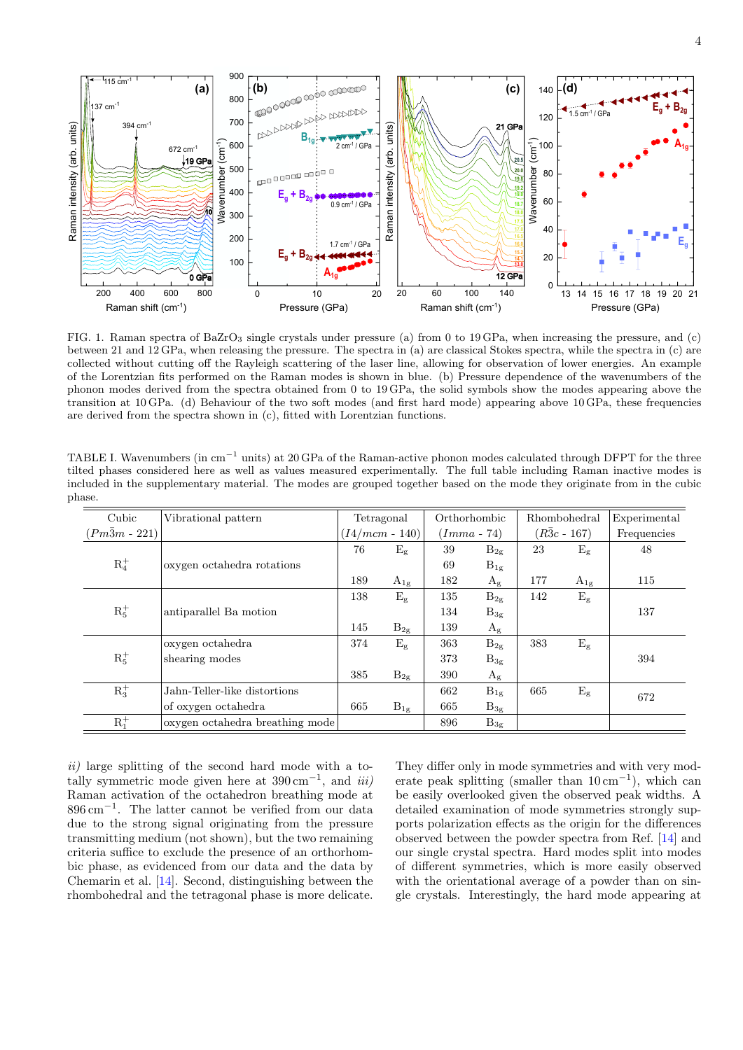

<span id="page-3-0"></span>FIG. 1. Raman spectra of BaZrO<sub>3</sub> single crystals under pressure (a) from 0 to 19 GPa, when increasing the pressure, and (c) between 21 and 12 GPa, when releasing the pressure. The spectra in (a) are classical Stokes spectra, while the spectra in (c) are collected without cutting off the Rayleigh scattering of the laser line, allowing for observation of lower energies. An example of the Lorentzian fits performed on the Raman modes is shown in blue. (b) Pressure dependence of the wavenumbers of the phonon modes derived from the spectra obtained from 0 to 19 GPa, the solid symbols show the modes appearing above the transition at 10 GPa. (d) Behaviour of the two soft modes (and first hard mode) appearing above 10 GPa, these frequencies are derived from the spectra shown in (c), fitted with Lorentzian functions.

<span id="page-3-1"></span>TABLE I. Wavenumbers (in  $cm^{-1}$  units) at 20 GPa of the Raman-active phonon modes calculated through DFPT for the three tilted phases considered here as well as values measured experimentally. The full table including Raman inactive modes is included in the supplementary material. The modes are grouped together based on the mode they originate from in the cubic phase.

| Cubic                | Vibrational pattern             | Tetragonal       |             | Orthorhombic  |             | Rhombohedral        |             | Experimental |
|----------------------|---------------------------------|------------------|-------------|---------------|-------------|---------------------|-------------|--------------|
| $(Pm\bar{3}m - 221)$ |                                 | $(I4/mcm - 140)$ |             | $(Imma - 74)$ |             | $(R\bar{3}c - 167)$ |             | Frequencies  |
| $R_4^+$              |                                 | 76               | $E_{\rm g}$ | 39            | $B_{2g}$    | 23                  | $E_{\rm g}$ | 48           |
|                      | oxygen octahedra rotations      |                  |             | 69            | $B_{1g}$    |                     |             |              |
|                      |                                 | 189              | $A_{1g}$    | 182           | $A_g$       | 177                 | $A_{1g}$    | 115          |
| $R_5^+$              |                                 | 138              | $E_{\rm g}$ | 135           | $B_{2g}$    | 142                 | $E_{\rm g}$ |              |
|                      | antiparallel Ba motion          |                  |             | 134           | $B_{3g}$    |                     |             | 137          |
|                      |                                 | 145              | $B_{2g}$    | 139           | $A_{\rm g}$ |                     |             |              |
| $R_5^+$              | oxygen octahedra                | 374              | $E_{\rm g}$ | 363           | $B_{2g}$    | 383                 | $E_{\rm g}$ |              |
|                      | shearing modes                  |                  |             | 373           | $B_{3g}$    |                     |             | 394          |
|                      |                                 | 385              | $B_{2g}$    | 390           | $A_{\rm g}$ |                     |             |              |
| $R_3^+$              | Jahn-Teller-like distortions    |                  |             | 662           | $B_{1g}$    | 665                 | $E_{\rm g}$ | 672          |
|                      | of oxygen octahedra             | 665              | $B_{1g}$    | 665           | $B_{3g}$    |                     |             |              |
| $R_1^+$              | oxygen octahedra breathing mode |                  |             | 896           | $B_{3g}$    |                     |             |              |

ii) large splitting of the second hard mode with a totally symmetric mode given here at  $390 \text{ cm}^{-1}$ , and  $iii)$ Raman activation of the octahedron breathing mode at 896 cm<sup>−</sup><sup>1</sup> . The latter cannot be verified from our data due to the strong signal originating from the pressure transmitting medium (not shown), but the two remaining criteria suffice to exclude the presence of an orthorhombic phase, as evidenced from our data and the data by Chemarin et al. [\[14\]](#page-8-8). Second, distinguishing between the rhombohedral and the tetragonal phase is more delicate.

They differ only in mode symmetries and with very moderate peak splitting (smaller than  $10 \text{ cm}^{-1}$ ), which can be easily overlooked given the observed peak widths. A detailed examination of mode symmetries strongly supports polarization effects as the origin for the differences observed between the powder spectra from Ref. [\[14\]](#page-8-8) and our single crystal spectra. Hard modes split into modes of different symmetries, which is more easily observed with the orientational average of a powder than on single crystals. Interestingly, the hard mode appearing at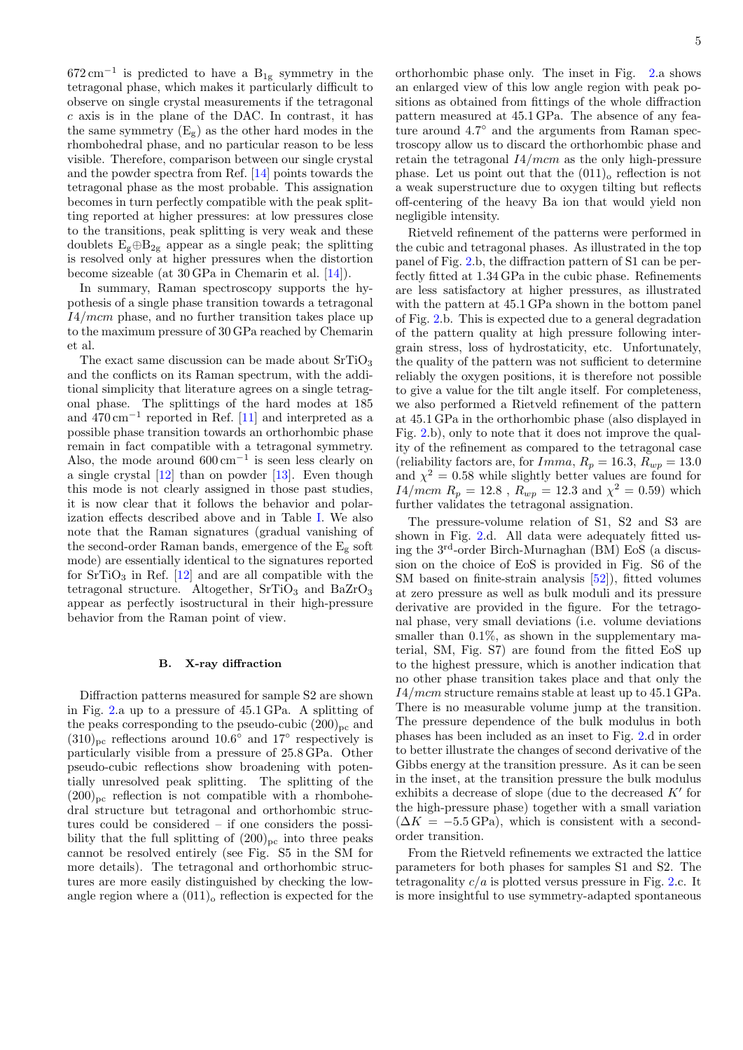$672 \text{ cm}^{-1}$  is predicted to have a B<sub>1g</sub> symmetry in the tetragonal phase, which makes it particularly difficult to observe on single crystal measurements if the tetragonal c axis is in the plane of the DAC. In contrast, it has the same symmetry  $(E_g)$  as the other hard modes in the rhombohedral phase, and no particular reason to be less visible. Therefore, comparison between our single crystal and the powder spectra from Ref. [\[14\]](#page-8-8) points towards the tetragonal phase as the most probable. This assignation becomes in turn perfectly compatible with the peak splitting reported at higher pressures: at low pressures close to the transitions, peak splitting is very weak and these doublets  $E_g \oplus B_{2g}$  appear as a single peak; the splitting is resolved only at higher pressures when the distortion become sizeable (at 30 GPa in Chemarin et al. [\[14\]](#page-8-8)).

In summary, Raman spectroscopy supports the hypothesis of a single phase transition towards a tetragonal I4/mcm phase, and no further transition takes place up to the maximum pressure of 30 GPa reached by Chemarin et al.

The exact same discussion can be made about  $SrTiO<sub>3</sub>$ and the conflicts on its Raman spectrum, with the additional simplicity that literature agrees on a single tetragonal phase. The splittings of the hard modes at 185 and 470 cm−<sup>1</sup> reported in Ref. [\[11\]](#page-8-6) and interpreted as a possible phase transition towards an orthorhombic phase remain in fact compatible with a tetragonal symmetry. Also, the mode around  $600 \text{ cm}^{-1}$  is seen less clearly on a single crystal [\[12\]](#page-8-17) than on powder [\[13\]](#page-8-7). Even though this mode is not clearly assigned in those past studies, it is now clear that it follows the behavior and polarization effects described above and in Table [I.](#page-3-1) We also note that the Raman signatures (gradual vanishing of the second-order Raman bands, emergence of the  $E_g$  soft mode) are essentially identical to the signatures reported for  $SrTiO<sub>3</sub>$  in Ref. [\[12\]](#page-8-17) and are all compatible with the tetragonal structure. Altogether,  $SrTiO<sub>3</sub>$  and  $BaZrO<sub>3</sub>$ appear as perfectly isostructural in their high-pressure behavior from the Raman point of view.

#### B. X-ray diffraction

Diffraction patterns measured for sample S2 are shown in Fig. [2.](#page-5-0)a up to a pressure of 45.1 GPa. A splitting of the peaks corresponding to the pseudo-cubic  $(200)_{\text{pc}}$  and  $(310)_{\text{pc}}$  reflections around 10.6 $\degree$  and 17 $\degree$  respectively is particularly visible from a pressure of 25.8 GPa. Other pseudo-cubic reflections show broadening with potentially unresolved peak splitting. The splitting of the  $(200)_{\text{pc}}$  reflection is not compatible with a rhombohedral structure but tetragonal and orthorhombic structures could be considered – if one considers the possibility that the full splitting of  $(200)_{\text{pc}}$  into three peaks cannot be resolved entirely (see Fig. S5 in the SM for more details). The tetragonal and orthorhombic structures are more easily distinguished by checking the lowangle region where a  $(011)$ <sub>o</sub> reflection is expected for the

orthorhombic phase only. The inset in Fig. [2.](#page-5-0)a shows an enlarged view of this low angle region with peak positions as obtained from fittings of the whole diffraction pattern measured at 45.1 GPa. The absence of any feature around 4.7◦ and the arguments from Raman spectroscopy allow us to discard the orthorhombic phase and retain the tetragonal  $I4/mcm$  as the only high-pressure phase. Let us point out that the  $(011)$ <sub>o</sub> reflection is not a weak superstructure due to oxygen tilting but reflects off-centering of the heavy Ba ion that would yield non negligible intensity.

Rietveld refinement of the patterns were performed in the cubic and tetragonal phases. As illustrated in the top panel of Fig. [2.](#page-5-0)b, the diffraction pattern of S1 can be perfectly fitted at 1.34 GPa in the cubic phase. Refinements are less satisfactory at higher pressures, as illustrated with the pattern at 45.1 GPa shown in the bottom panel of Fig. [2.](#page-5-0)b. This is expected due to a general degradation of the pattern quality at high pressure following intergrain stress, loss of hydrostaticity, etc. Unfortunately, the quality of the pattern was not sufficient to determine reliably the oxygen positions, it is therefore not possible to give a value for the tilt angle itself. For completeness, we also performed a Rietveld refinement of the pattern at 45.1 GPa in the orthorhombic phase (also displayed in Fig. [2.](#page-5-0)b), only to note that it does not improve the quality of the refinement as compared to the tetragonal case (reliability factors are, for  $Imma, R_p = 16.3, R_{wp} = 13.0$ and  $\chi^2 = 0.58$  while slightly better values are found for  $I4/mcm$   $R_p = 12.8$ ,  $R_{wp} = 12.3$  and  $\chi^2 = 0.59$ ) which further validates the tetragonal assignation.

The pressure-volume relation of S1, S2 and S3 are shown in Fig. [2.](#page-5-0)d. All data were adequately fitted using the 3rd-order Birch-Murnaghan (BM) EoS (a discussion on the choice of EoS is provided in Fig. S6 of the SM based on finite-strain analysis  $[52]$ ), fitted volumes at zero pressure as well as bulk moduli and its pressure derivative are provided in the figure. For the tetragonal phase, very small deviations (i.e. volume deviations smaller than  $0.1\%$ , as shown in the supplementary material, SM, Fig. S7) are found from the fitted EoS up to the highest pressure, which is another indication that no other phase transition takes place and that only the I4/mcm structure remains stable at least up to 45.1 GPa. There is no measurable volume jump at the transition. The pressure dependence of the bulk modulus in both phases has been included as an inset to Fig. [2.](#page-5-0)d in order to better illustrate the changes of second derivative of the Gibbs energy at the transition pressure. As it can be seen in the inset, at the transition pressure the bulk modulus exhibits a decrease of slope (due to the decreased  $K'$  for the high-pressure phase) together with a small variation  $(\Delta K = -5.5 \text{ GPa})$ , which is consistent with a secondorder transition.

From the Rietveld refinements we extracted the lattice parameters for both phases for samples S1 and S2. The tetragonality  $c/a$  is plotted versus pressure in Fig. [2.](#page-5-0)c. It is more insightful to use symmetry-adapted spontaneous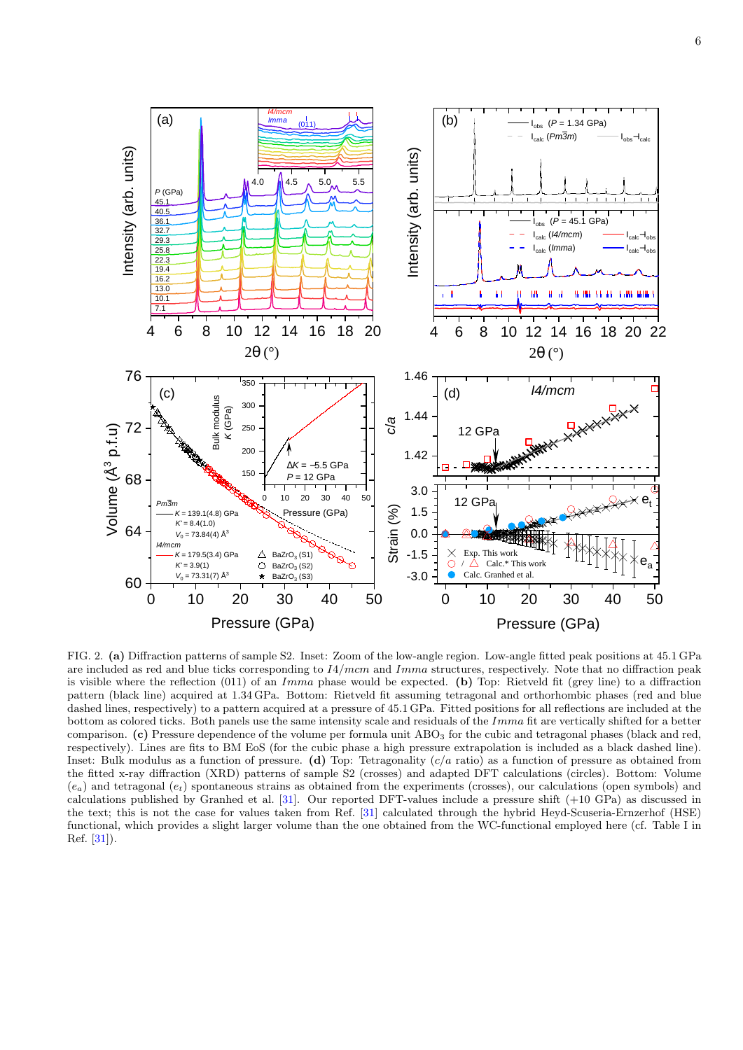

<span id="page-5-0"></span>FIG. 2. (a) Diffraction patterns of sample S2. Inset: Zoom of the low-angle region. Low-angle fitted peak positions at 45.1 GPa are included as red and blue ticks corresponding to  $I4/mcm$  and  $Imma$  structures, respectively. Note that no diffraction peak is visible where the reflection (011) of an Imma phase would be expected. (b) Top: Rietveld fit (grey line) to a diffraction pattern (black line) acquired at 1.34 GPa. Bottom: Rietveld fit assuming tetragonal and orthorhombic phases (red and blue dashed lines, respectively) to a pattern acquired at a pressure of 45.1 GPa. Fitted positions for all reflections are included at the bottom as colored ticks. Both panels use the same intensity scale and residuals of the Imma fit are vertically shifted for a better comparison. (c) Pressure dependence of the volume per formula unit ABO<sub>3</sub> for the cubic and tetragonal phases (black and red, respectively). Lines are fits to BM EoS (for the cubic phase a high pressure extrapolation is included as a black dashed line). Inset: Bulk modulus as a function of pressure. (d) Top: Tetragonality  $(c/a \text{ ratio})$  as a function of pressure as obtained from the fitted x-ray diffraction (XRD) patterns of sample S2 (crosses) and adapted DFT calculations (circles). Bottom: Volume  $(e_a)$  and tetragonal  $(e_t)$  spontaneous strains as obtained from the experiments (crosses), our calculations (open symbols) and calculations published by Granhed et al. [\[31\]](#page-9-18). Our reported DFT-values include a pressure shift (+10 GPa) as discussed in the text; this is not the case for values taken from Ref. [\[31\]](#page-9-18) calculated through the hybrid Heyd-Scuseria-Ernzerhof (HSE) functional, which provides a slight larger volume than the one obtained from the WC-functional employed here (cf. Table I in Ref. [\[31\]](#page-9-18)).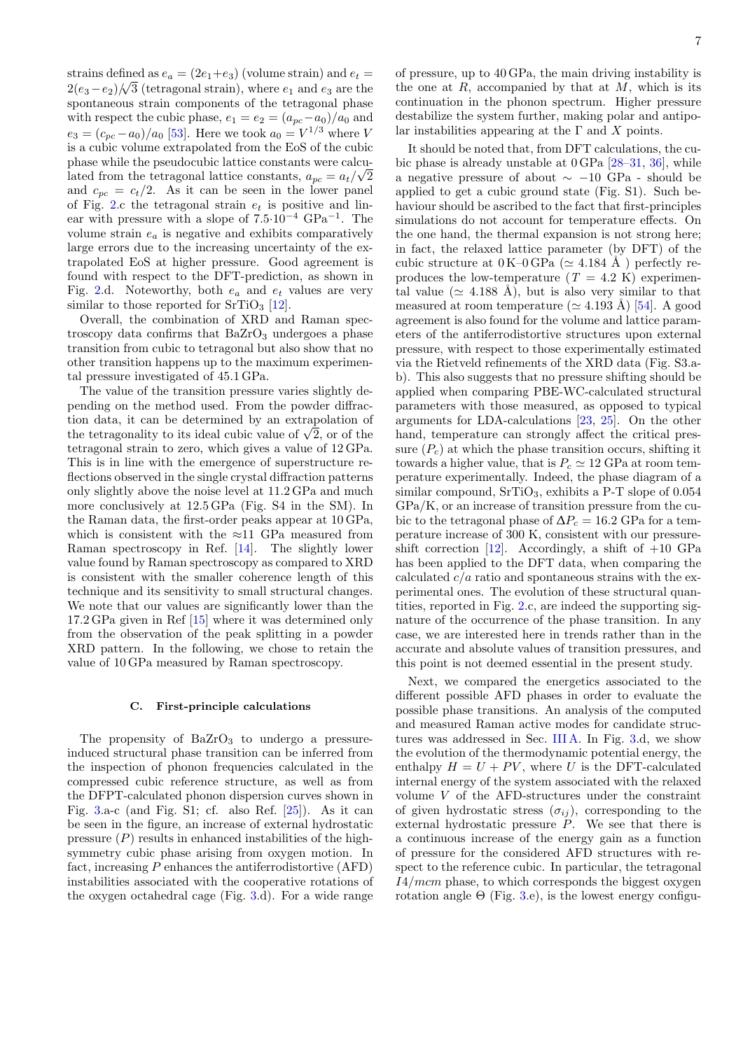7

strains defined as  $e_a = (2e_1 + e_3)$  (volume strain) and  $e_t =$  $2(e_3 - e_2)$  /  $\sqrt{3}$  (tetragonal strain), where  $e_1$  and  $e_3$  are the spontaneous strain components of the tetragonal phase with respect the cubic phase,  $e_1 = e_2 = (a_{pc} - a_0)/a_0$  and  $e_3 = (c_{pc} - a_0)/a_0$  [\[53\]](#page-9-24). Here we took  $a_0 = V^{1/3}$  where V is a cubic volume extrapolated from the EoS of the cubic phase while the pseudocubic lattice constants were calculated from the tetragonal lattice constants,  $a_{pc} = a_t/\sqrt{2}$ and  $c_{pc} = c_t/2$ . As it can be seen in the lower panel of Fig. [2.](#page-5-0)c the tetragonal strain  $e_t$  is positive and linear with pressure with a slope of 7.5·10−<sup>4</sup> GPa−<sup>1</sup> . The volume strain  $e_a$  is negative and exhibits comparatively large errors due to the increasing uncertainty of the extrapolated EoS at higher pressure. Good agreement is found with respect to the DFT-prediction, as shown in Fig. [2.](#page-5-0)d. Noteworthy, both  $e_a$  and  $e_t$  values are very similar to those reported for  $SrTiO<sub>3</sub>$  [\[12\]](#page-8-17).

Overall, the combination of XRD and Raman spectroscopy data confirms that  $BaZrO<sub>3</sub>$  undergoes a phase transition from cubic to tetragonal but also show that no other transition happens up to the maximum experimental pressure investigated of 45.1 GPa.

The value of the transition pressure varies slightly depending on the method used. From the powder diffraction data, it can be determined by an extrapolation of tion data, it can be determined by an extrapolation of<br>the tetragonality to its ideal cubic value of  $\sqrt{2}$ , or of the tetragonal strain to zero, which gives a value of 12 GPa. This is in line with the emergence of superstructure reflections observed in the single crystal diffraction patterns only slightly above the noise level at 11.2 GPa and much more conclusively at 12.5 GPa (Fig. S4 in the SM). In the Raman data, the first-order peaks appear at 10 GPa, which is consistent with the  $\approx$ 11 GPa measured from Raman spectroscopy in Ref. [\[14\]](#page-8-8). The slightly lower value found by Raman spectroscopy as compared to XRD is consistent with the smaller coherence length of this technique and its sensitivity to small structural changes. We note that our values are significantly lower than the 17.2 GPa given in Ref [\[15\]](#page-8-9) where it was determined only from the observation of the peak splitting in a powder XRD pattern. In the following, we chose to retain the value of 10 GPa measured by Raman spectroscopy.

## C. First-principle calculations

The propensity of  $BaZrO<sub>3</sub>$  to undergo a pressureinduced structural phase transition can be inferred from the inspection of phonon frequencies calculated in the compressed cubic reference structure, as well as from the DFPT-calculated phonon dispersion curves shown in Fig. [3.](#page-7-0)a-c (and Fig. S1; cf. also Ref. [\[25\]](#page-8-19)). As it can be seen in the figure, an increase of external hydrostatic pressure  $(P)$  results in enhanced instabilities of the highsymmetry cubic phase arising from oxygen motion. In fact, increasing  $P$  enhances the antiferrodistortive  $(AFD)$ instabilities associated with the cooperative rotations of the oxygen octahedral cage (Fig. [3.](#page-7-0)d). For a wide range

of pressure, up to 40 GPa, the main driving instability is the one at  $R$ , accompanied by that at  $M$ , which is its continuation in the phonon spectrum. Higher pressure destabilize the system further, making polar and antipolar instabilities appearing at the  $\Gamma$  and  $X$  points.

It should be noted that, from DFT calculations, the cubic phase is already unstable at 0 GPa [\[28–](#page-9-1)[31,](#page-9-18) [36\]](#page-9-7), while a negative pressure of about ∼ −10 GPa - should be applied to get a cubic ground state (Fig. S1). Such behaviour should be ascribed to the fact that first-principles simulations do not account for temperature effects. On the one hand, the thermal expansion is not strong here; in fact, the relaxed lattice parameter (by DFT) of the cubic structure at  $0 K-0 GPa$  ( $\simeq 4.184$  Å) perfectly reproduces the low-temperature  $(T = 4.2 \text{ K})$  experimental value ( $\simeq$  4.188 Å), but is also very similar to that measured at room temperature ( $\simeq$  4.193 Å) [\[54\]](#page-9-25). A good agreement is also found for the volume and lattice parameters of the antiferrodistortive structures upon external pressure, with respect to those experimentally estimated via the Rietveld refinements of the XRD data (Fig. S3.ab). This also suggests that no pressure shifting should be applied when comparing PBE-WC-calculated structural parameters with those measured, as opposed to typical arguments for LDA-calculations [\[23,](#page-8-18) [25\]](#page-8-19). On the other hand, temperature can strongly affect the critical pressure  $(P_c)$  at which the phase transition occurs, shifting it towards a higher value, that is  $P_c \simeq 12$  GPa at room temperature experimentally. Indeed, the phase diagram of a similar compound,  $SrTiO<sub>3</sub>$ , exhibits a P-T slope of 0.054 GPa/K, or an increase of transition pressure from the cubic to the tetragonal phase of  $\Delta P_c = 16.2$  GPa for a temperature increase of 300 K, consistent with our pressure-shift correction [\[12\]](#page-8-17). Accordingly, a shift of  $+10$  GPa has been applied to the DFT data, when comparing the calculated  $c/a$  ratio and spontaneous strains with the experimental ones. The evolution of these structural quantities, reported in Fig. [2.](#page-5-0)c, are indeed the supporting signature of the occurrence of the phase transition. In any case, we are interested here in trends rather than in the accurate and absolute values of transition pressures, and this point is not deemed essential in the present study.

Next, we compared the energetics associated to the different possible AFD phases in order to evaluate the possible phase transitions. An analysis of the computed and measured Raman active modes for candidate structures was addressed in Sec. [III A.](#page-2-0) In Fig. [3.](#page-7-0)d, we show the evolution of the thermodynamic potential energy, the enthalpy  $H = U + PV$ , where U is the DFT-calculated internal energy of the system associated with the relaxed volume V of the AFD-structures under the constraint of given hydrostatic stress  $(\sigma_{ij})$ , corresponding to the external hydrostatic pressure  $\overrightarrow{P}$ . We see that there is a continuous increase of the energy gain as a function of pressure for the considered AFD structures with respect to the reference cubic. In particular, the tetragonal  $I4/mcm$  phase, to which corresponds the biggest oxygen rotation angle  $\Theta$  (Fig. [3.](#page-7-0)e), is the lowest energy configu-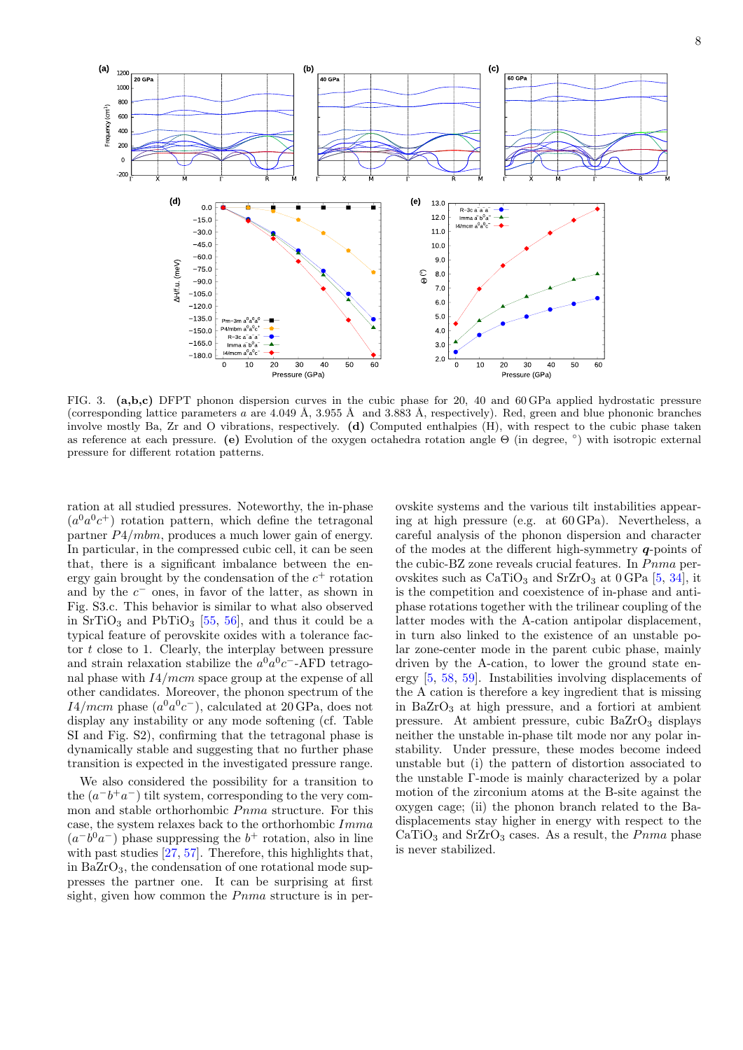

<span id="page-7-0"></span>FIG. 3. (a,b,c) DFPT phonon dispersion curves in the cubic phase for 20, 40 and 60 GPa applied hydrostatic pressure (corresponding lattice parameters a are 4.049 Å, 3.955 Å and 3.883 Å, respectively). Red, green and blue phononic branches involve mostly Ba, Zr and O vibrations, respectively. (d) Computed enthalpies (H), with respect to the cubic phase taken as reference at each pressure. (e) Evolution of the oxygen octahedra rotation angle Θ (in degree, ◦ ) with isotropic external pressure for different rotation patterns.

ration at all studied pressures. Noteworthy, the in-phase  $(a^0a^0c^+)$  rotation pattern, which define the tetragonal partner P4/mbm, produces a much lower gain of energy. In particular, in the compressed cubic cell, it can be seen that, there is a significant imbalance between the energy gain brought by the condensation of the  $c^+$  rotation and by the  $c^-$  ones, in favor of the latter, as shown in Fig. S3.c. This behavior is similar to what also observed in  $SrTiO<sub>3</sub>$  and PbTiO<sub>3</sub> [\[55,](#page-9-26) [56\]](#page-9-27), and thus it could be a typical feature of perovskite oxides with a tolerance factor t close to 1. Clearly, the interplay between pressure and strain relaxation stabilize the  $a^0a^0c^-$ -AFD tetragonal phase with I4/mcm space group at the expense of all other candidates. Moreover, the phonon spectrum of the  $I4/mcm$  phase  $(a^{0}a^{0}c^{-})$ , calculated at 20 GPa, does not display any instability or any mode softening (cf. Table SI and Fig. S2), confirming that the tetragonal phase is dynamically stable and suggesting that no further phase transition is expected in the investigated pressure range.

We also considered the possibility for a transition to the  $(a^-b^+a^-)$  tilt system, corresponding to the very common and stable orthorhombic  $Pnma$  structure. For this case, the system relaxes back to the orthorhombic Imma  $(a^{-}b^{0}a^{-})$  phase suppressing the  $b^{+}$  rotation, also in line with past studies [\[27,](#page-9-0) [57\]](#page-9-28). Therefore, this highlights that, in  $BaZrO<sub>3</sub>$ , the condensation of one rotational mode suppresses the partner one. It can be surprising at first sight, given how common the  $Pnma$  structure is in per-

ovskite systems and the various tilt instabilities appearing at high pressure (e.g. at 60 GPa). Nevertheless, a careful analysis of the phonon dispersion and character of the modes at the different high-symmetry  $q$ -points of the cubic-BZ zone reveals crucial features. In  $Pnma$  perovskites such as  $CaTiO<sub>3</sub>$  and  $SrZrO<sub>3</sub>$  at 0 GPa [\[5,](#page-8-3) [34\]](#page-9-5), it is the competition and coexistence of in-phase and antiphase rotations together with the trilinear coupling of the latter modes with the A-cation antipolar displacement, in turn also linked to the existence of an unstable polar zone-center mode in the parent cubic phase, mainly driven by the A-cation, to lower the ground state energy [\[5,](#page-8-3) [58,](#page-9-29) [59\]](#page-9-30). Instabilities involving displacements of the A cation is therefore a key ingredient that is missing in  $BaZrO_3$  at high pressure, and a fortiori at ambient pressure. At ambient pressure, cubic  $BaZrO<sub>3</sub>$  displays neither the unstable in-phase tilt mode nor any polar instability. Under pressure, these modes become indeed unstable but (i) the pattern of distortion associated to the unstable Γ-mode is mainly characterized by a polar motion of the zirconium atoms at the B-site against the oxygen cage; (ii) the phonon branch related to the Badisplacements stay higher in energy with respect to the  $CaTiO<sub>3</sub>$  and  $SrZrO<sub>3</sub>$  cases. As a result, the *Pnma* phase is never stabilized.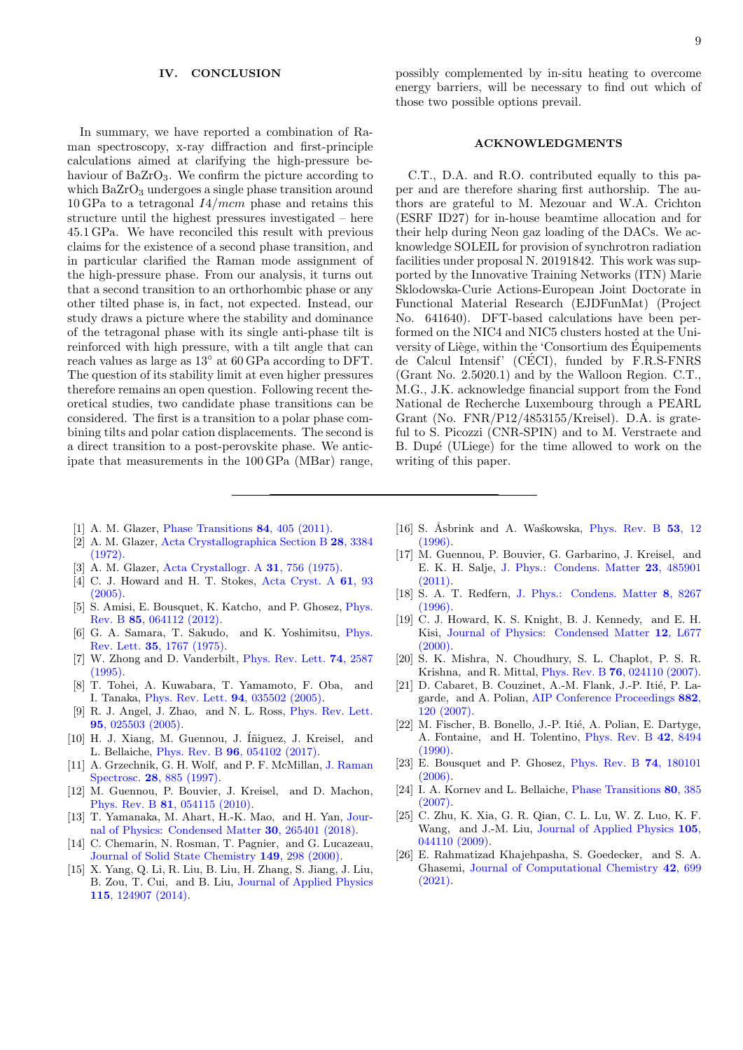### IV. CONCLUSION

In summary, we have reported a combination of Raman spectroscopy, x-ray diffraction and first-principle calculations aimed at clarifying the high-pressure behaviour of  $BaZrO<sub>3</sub>$ . We confirm the picture according to which  $BaZrO<sub>3</sub>$  undergoes a single phase transition around  $10$  GPa to a tetragonal  $I4/mcm$  phase and retains this structure until the highest pressures investigated – here 45.1 GPa. We have reconciled this result with previous claims for the existence of a second phase transition, and in particular clarified the Raman mode assignment of the high-pressure phase. From our analysis, it turns out that a second transition to an orthorhombic phase or any other tilted phase is, in fact, not expected. Instead, our study draws a picture where the stability and dominance of the tetragonal phase with its single anti-phase tilt is reinforced with high pressure, with a tilt angle that can reach values as large as 13◦ at 60 GPa according to DFT. The question of its stability limit at even higher pressures therefore remains an open question. Following recent theoretical studies, two candidate phase transitions can be considered. The first is a transition to a polar phase combining tilts and polar cation displacements. The second is a direct transition to a post-perovskite phase. We anticipate that measurements in the 100 GPa (MBar) range,

## ACKNOWLEDGMENTS

C.T., D.A. and R.O. contributed equally to this paper and are therefore sharing first authorship. The authors are grateful to M. Mezouar and W.A. Crichton (ESRF ID27) for in-house beamtime allocation and for their help during Neon gaz loading of the DACs. We acknowledge SOLEIL for provision of synchrotron radiation facilities under proposal N. 20191842. This work was supported by the Innovative Training Networks (ITN) Marie Sklodowska-Curie Actions-European Joint Doctorate in Functional Material Research (EJDFunMat) (Project No. 641640). DFT-based calculations have been performed on the NIC4 and NIC5 clusters hosted at the University of Liège, within the 'Consortium des Équipements de Calcul Intensif' (CÉCI), funded by  $F.R.S-FNRS$ (Grant No. 2.5020.1) and by the Walloon Region. C.T., M.G., J.K. acknowledge financial support from the Fond National de Recherche Luxembourg through a PEARL Grant (No. FNR/P12/4853155/Kreisel). D.A. is grateful to S. Picozzi (CNR-SPIN) and to M. Verstraete and B. Dupé (ULiege) for the time allowed to work on the writing of this paper.

- <span id="page-8-0"></span>[1] A. M. Glazer, [Phase Transitions](http://dx.doi.org/10.1080/01411594.2010.544732) **84**, 405 (2011).
- <span id="page-8-1"></span>[2] A. M. Glazer, [Acta Crystallographica Section B](http://dx.doi.org/10.1107/S0567740872007976) 28, 3384 [\(1972\).](http://dx.doi.org/10.1107/S0567740872007976)
- [3] A. M. Glazer, [Acta Crystallogr. A](http://dx.doi.org/10.1107/S0567739475001635) 31, 756 (1975).
- <span id="page-8-2"></span>[4] C. J. Howard and H. T. Stokes, [Acta Cryst. A](http://dx.doi.org/10.1107/S0108767304024493) 61, 93 [\(2005\).](http://dx.doi.org/10.1107/S0108767304024493)
- <span id="page-8-3"></span>[5] S. Amisi, E. Bousquet, K. Katcho, and P. Ghosez, [Phys.](http://dx.doi.org/ 10.1103/PhysRevB.85.064112) Rev. B 85[, 064112 \(2012\).](http://dx.doi.org/ 10.1103/PhysRevB.85.064112)
- <span id="page-8-4"></span>[6] G. A. Samara, T. Sakudo, and K. Yoshimitsu, [Phys.](http://dx.doi.org/10.1103/PhysRevLett.35.1767) Rev. Lett. 35[, 1767 \(1975\).](http://dx.doi.org/10.1103/PhysRevLett.35.1767)
- [7] W. Zhong and D. Vanderbilt, [Phys. Rev. Lett.](http://dx.doi.org/10.1103/PhysRevLett.74.2587) 74, 2587 [\(1995\).](http://dx.doi.org/10.1103/PhysRevLett.74.2587)
- [8] T. Tohei, A. Kuwabara, T. Yamamoto, F. Oba, and I. Tanaka, [Phys. Rev. Lett.](http://link.aps.org/abstract/PRL/v94/e035502) 94, 035502 (2005).
- [9] R. J. Angel, J. Zhao, and N. L. Ross, [Phys. Rev. Lett.](http://link.aps.org/abstract/PRL/v95/e025503) 95[, 025503 \(2005\).](http://link.aps.org/abstract/PRL/v95/e025503)
- <span id="page-8-5"></span>[10] H. J. Xiang, M. Guennou, J. Íñiguez, J. Kreisel, and L. Bellaiche, Phys. Rev. B 96[, 054102 \(2017\).](http://dx.doi.org/ 10.1103/PhysRevB.96.054102)
- <span id="page-8-6"></span>[11] A. Grzechnik, G. H. Wolf, and P. F. McMillan, [J. Raman](http://dx.doi.org/ 10.1002/(SICI)1097-4555(199711)28:11<885::AID-JRS179>3.0.CO;2-Z) Spectrosc. 28[, 885 \(1997\).](http://dx.doi.org/ 10.1002/(SICI)1097-4555(199711)28:11<885::AID-JRS179>3.0.CO;2-Z)
- <span id="page-8-17"></span>[12] M. Guennou, P. Bouvier, J. Kreisel, and D. Machon, Phys. Rev. B **81**[, 054115 \(2010\).](http://link.aps.org/doi/10.1103/PhysRevB.81.054115)
- <span id="page-8-7"></span>[13] T. Yamanaka, M. Ahart, H.-K. Mao, and H. Yan, [Jour](http://dx.doi.org/ 10.1088/1361-648x/aabef3)[nal of Physics: Condensed Matter](http://dx.doi.org/ 10.1088/1361-648x/aabef3) 30, 265401 (2018).
- <span id="page-8-8"></span>[14] C. Chemarin, N. Rosman, T. Pagnier, and G. Lucazeau, [Journal of Solid State Chemistry](http://dx.doi.org/10.1006/jssc.1999.8530) 149, 298 (2000).
- <span id="page-8-9"></span>[15] X. Yang, Q. Li, R. Liu, B. Liu, H. Zhang, S. Jiang, J. Liu, B. Zou, T. Cui, and B. Liu, [Journal of Applied Physics](http://dx.doi.org/ 10.1063/1.4868906) 115[, 124907 \(2014\).](http://dx.doi.org/ 10.1063/1.4868906)
- <span id="page-8-10"></span>[16] S. Åsbrink and A. Waśkowska, [Phys. Rev. B](http://link.aps.org/abstract/PRB/v53/p12) 53, 12 [\(1996\).](http://link.aps.org/abstract/PRB/v53/p12)
- <span id="page-8-11"></span>[17] M. Guennou, P. Bouvier, G. Garbarino, J. Kreisel, and E. K. H. Salje, [J. Phys.: Condens. Matter](http://stacks.iop.org/0953-8984/23/i=48/a=485901) 23, 485901 [\(2011\).](http://stacks.iop.org/0953-8984/23/i=48/a=485901)
- <span id="page-8-12"></span>[18] S. A. T. Redfern, [J. Phys.: Condens. Matter](http://stacks.iop.org/0953-8984/8/i=43/a=019) 8, 8267 [\(1996\).](http://stacks.iop.org/0953-8984/8/i=43/a=019)
- <span id="page-8-13"></span>[19] C. J. Howard, K. S. Knight, B. J. Kennedy, and E. H. Kisi, [Journal of Physics: Condensed Matter](http://dx.doi.org/10.1088/0953-8984/12/45/101) 12, L677 [\(2000\).](http://dx.doi.org/10.1088/0953-8984/12/45/101)
- <span id="page-8-14"></span>[20] S. K. Mishra, N. Choudhury, S. L. Chaplot, P. S. R. Krishna, and R. Mittal, Phys. Rev. B 76[, 024110 \(2007\).](http://dx.doi.org/ 10.1103/PhysRevB.76.024110)
- <span id="page-8-15"></span>[21] D. Cabaret, B. Couzinet, A.-M. Flank, J.-P. Itié, P. Lagarde, and A. Polian, [AIP Conference Proceedings](http://dx.doi.org/ 10.1063/1.2644447) 882, [120 \(2007\).](http://dx.doi.org/ 10.1063/1.2644447)
- <span id="page-8-16"></span>[22] M. Fischer, B. Bonello, J.-P. Itié, A. Polian, E. Dartyge, A. Fontaine, and H. Tolentino, [Phys. Rev. B](http://link.aps.org/abstract/PRB/v42/p8494) 42, 8494  $(1990).$
- <span id="page-8-18"></span>[23] E. Bousquet and P. Ghosez, [Phys. Rev. B](http://dx.doi.org/10.1103/PhysRevB.74.180101) 74, 180101 [\(2006\).](http://dx.doi.org/10.1103/PhysRevB.74.180101)
- [24] I. A. Kornev and L. Bellaiche, [Phase Transitions](http://www.informaworld.com/10.1080/01411590701228117) 80, 385  $(2007)$
- <span id="page-8-19"></span>[25] C. Zhu, K. Xia, G. R. Qian, C. L. Lu, W. Z. Luo, K. F. Wang, and J.-M. Liu, [Journal of Applied Physics](http://dx.doi.org/10.1063/1.3080245) 105, [044110 \(2009\).](http://dx.doi.org/10.1063/1.3080245)
- <span id="page-8-20"></span>[26] E. Rahmatizad Khajehpasha, S. Goedecker, and S. A. Ghasemi, [Journal of Computational Chemistry](http://dx.doi.org/10.1002/jcc.26490) 42, 699 [\(2021\).](http://dx.doi.org/10.1002/jcc.26490)